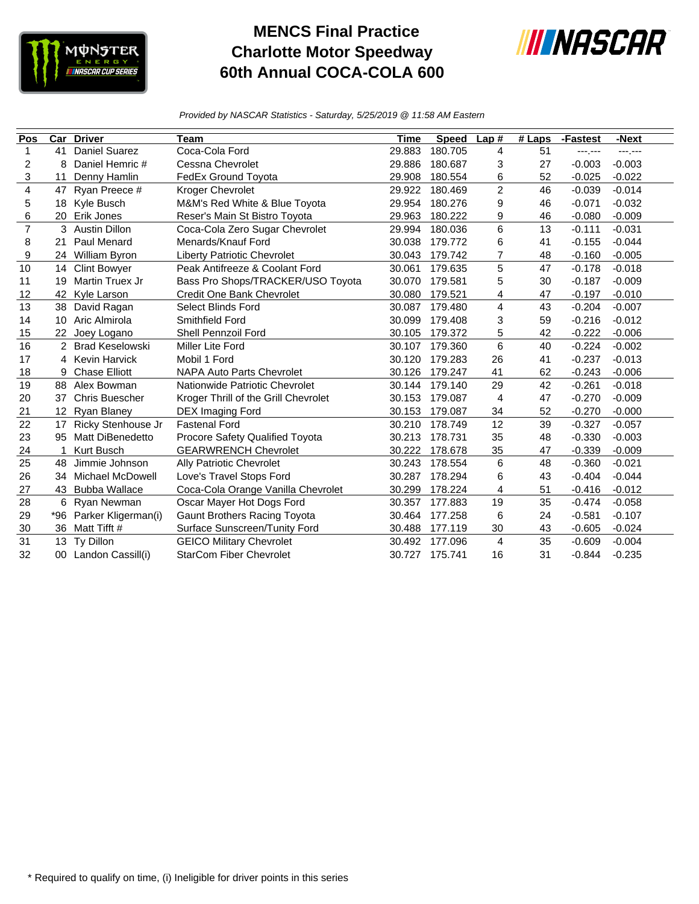

## **MENCS Final Practice Charlotte Motor Speedway 60th Annual COCA-COLA 600**



*Provided by NASCAR Statistics - Saturday, 5/25/2019 @ 11:58 AM Eastern*

| Pos                     | Car             | <b>Driver</b>          | Team                                 | Time   | <b>Speed</b> | Lap#           | $#$ Laps | -Fastest | $-Next$      |
|-------------------------|-----------------|------------------------|--------------------------------------|--------|--------------|----------------|----------|----------|--------------|
| 1                       | 41              | <b>Daniel Suarez</b>   | Coca-Cola Ford                       | 29.883 | 180.705      | 4              | 51       | ---.---  | $-100 - 100$ |
| 2                       | 8               | Daniel Hemric #        | Cessna Chevrolet                     | 29.886 | 180.687      | 3              | 27       | $-0.003$ | $-0.003$     |
| 3                       | 11              | Denny Hamlin           | FedEx Ground Toyota                  | 29.908 | 180.554      | 6              | 52       | $-0.025$ | $-0.022$     |
| $\overline{\mathbf{4}}$ | 47              | Ryan Preece #          | Kroger Chevrolet                     | 29.922 | 180.469      | $\overline{c}$ | 46       | $-0.039$ | $-0.014$     |
| 5                       | 18              | Kyle Busch             | M&M's Red White & Blue Toyota        | 29.954 | 180.276      | 9              | 46       | $-0.071$ | $-0.032$     |
| 6                       | 20              | Erik Jones             | Reser's Main St Bistro Toyota        | 29.963 | 180.222      | 9              | 46       | $-0.080$ | $-0.009$     |
| $\overline{7}$          | 3               | <b>Austin Dillon</b>   | Coca-Cola Zero Sugar Chevrolet       | 29.994 | 180.036      | 6              | 13       | $-0.111$ | $-0.031$     |
| 8                       | 21              | Paul Menard            | Menards/Knauf Ford                   | 30.038 | 179.772      | 6              | 41       | $-0.155$ | $-0.044$     |
| 9                       | 24              | William Byron          | <b>Liberty Patriotic Chevrolet</b>   | 30.043 | 179.742      | 7              | 48       | $-0.160$ | $-0.005$     |
| 10                      | 14              | <b>Clint Bowyer</b>    | Peak Antifreeze & Coolant Ford       | 30.061 | 179.635      | 5              | 47       | $-0.178$ | $-0.018$     |
| 11                      | 19              | Martin Truex Jr        | Bass Pro Shops/TRACKER/USO Toyota    | 30.070 | 179.581      | 5              | 30       | $-0.187$ | $-0.009$     |
| 12                      | 42              | Kyle Larson            | Credit One Bank Chevrolet            | 30.080 | 179.521      | 4              | 47       | $-0.197$ | $-0.010$     |
| 13                      | 38              | David Ragan            | <b>Select Blinds Ford</b>            | 30.087 | 179.480      | 4              | 43       | $-0.204$ | $-0.007$     |
| 14                      | 10              | Aric Almirola          | Smithfield Ford                      | 30.099 | 179.408      | 3              | 59       | $-0.216$ | $-0.012$     |
| 15                      | 22              | Joey Logano            | Shell Pennzoil Ford                  | 30.105 | 179.372      | 5              | 42       | $-0.222$ | $-0.006$     |
| 16                      |                 | <b>Brad Keselowski</b> | Miller Lite Ford                     | 30.107 | 179.360      | 6              | 40       | $-0.224$ | $-0.002$     |
| 17                      | 4               | <b>Kevin Harvick</b>   | Mobil 1 Ford                         | 30.120 | 179.283      | 26             | 41       | $-0.237$ | $-0.013$     |
| 18                      | 9               | <b>Chase Elliott</b>   | <b>NAPA Auto Parts Chevrolet</b>     | 30.126 | 179.247      | 41             | 62       | $-0.243$ | $-0.006$     |
| 19                      | 88              | Alex Bowman            | Nationwide Patriotic Chevrolet       | 30.144 | 179.140      | 29             | 42       | $-0.261$ | $-0.018$     |
| 20                      | 37              | <b>Chris Buescher</b>  | Kroger Thrill of the Grill Chevrolet | 30.153 | 179.087      | 4              | 47       | $-0.270$ | $-0.009$     |
| 21                      | 12 <sup>2</sup> | <b>Ryan Blaney</b>     | DEX Imaging Ford                     | 30.153 | 179.087      | 34             | 52       | $-0.270$ | $-0.000$     |
| 22                      | 17              | Ricky Stenhouse Jr     | <b>Fastenal Ford</b>                 | 30.210 | 178.749      | 12             | 39       | $-0.327$ | $-0.057$     |
| 23                      | 95              | Matt DiBenedetto       | Procore Safety Qualified Toyota      | 30.213 | 178.731      | 35             | 48       | $-0.330$ | $-0.003$     |
| 24                      | 1               | <b>Kurt Busch</b>      | <b>GEARWRENCH Chevrolet</b>          | 30.222 | 178.678      | 35             | 47       | $-0.339$ | $-0.009$     |
| 25                      | 48              | Jimmie Johnson         | <b>Ally Patriotic Chevrolet</b>      | 30.243 | 178.554      | 6              | 48       | $-0.360$ | $-0.021$     |
| 26                      | 34              | Michael McDowell       | Love's Travel Stops Ford             | 30.287 | 178.294      | 6              | 43       | $-0.404$ | $-0.044$     |
| 27                      | 43              | <b>Bubba Wallace</b>   | Coca-Cola Orange Vanilla Chevrolet   | 30.299 | 178.224      | 4              | 51       | $-0.416$ | $-0.012$     |
| 28                      | 6               | Ryan Newman            | Oscar Mayer Hot Dogs Ford            | 30.357 | 177.883      | 19             | 35       | $-0.474$ | $-0.058$     |
| 29                      | *96             | Parker Kligerman(i)    | <b>Gaunt Brothers Racing Toyota</b>  | 30.464 | 177.258      | 6              | 24       | $-0.581$ | $-0.107$     |
| 30                      | 36              | Matt Tifft #           | Surface Sunscreen/Tunity Ford        | 30.488 | 177.119      | 30             | 43       | $-0.605$ | $-0.024$     |
| 31                      | 13              | Ty Dillon              | <b>GEICO Military Chevrolet</b>      | 30.492 | 177.096      | 4              | 35       | $-0.609$ | $-0.004$     |
| 32                      |                 | 00 Landon Cassill(i)   | <b>StarCom Fiber Chevrolet</b>       | 30.727 | 175.741      | 16             | 31       | $-0.844$ | $-0.235$     |